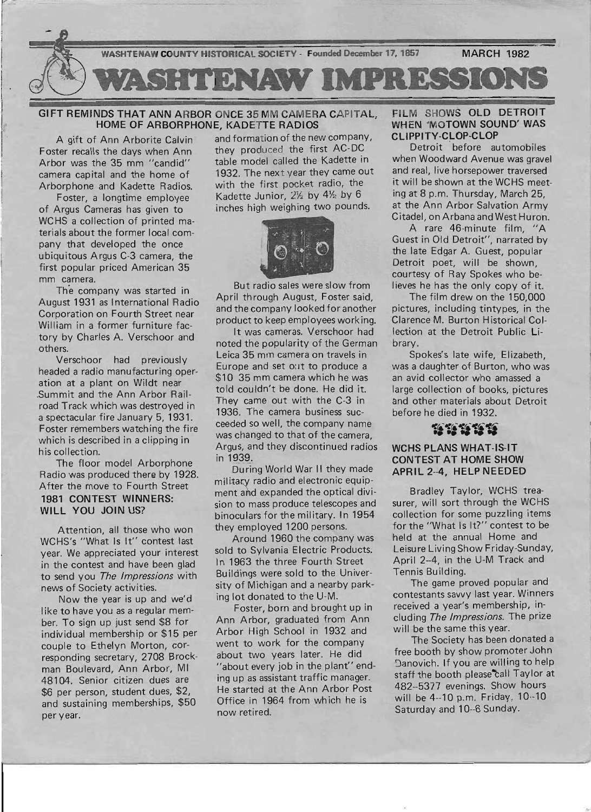

GIFT REMINDS THAT ANN ARBOR ONCE 35 MM CAMERA CAPITAL HOME OF ARBORPHONE, KADETTE RADIOS

A gift of Ann Arborite *Calvin '*  Foster recalls the days when Ann Arbor was the 35 mm *"candid"*  camera capital and the home of Arborphone and Kadette Radios.

- - ----\_.\_--\_ ....

Foster, a longtime employee of Argus Cameras has *given* to WCHS a collection of printed materials about the former local company that developed the once ubiquitous Argus C-3 camera, the first popular priced American 35 mm camera.

The company was started in August 1931 as International Radio . Corporation on Fourth Street near William in a former furniture factory by Charles A. Verschoor and others.

Verschoor had previously headed a radio manufacturing operation at a plant on Wildt near .Summit and the Ann Arbor Railroad Track which was destroyed in a spectacular fire January 5,1931. Foster remembers watching the fire which is described in a clipping in his collection.

The floor model Arborphone Radio was produced there by 1928. After the *move* to Fourth Street 1981 CONTEST WINNERS: WILL YOU JOIN US?

Attention, all those who won WCHS's "What Is It" contest last year. We appreciated your interest in the contest and *have* been glad to send you The Impressions with news of Society activities.

Now the year is up and we'd like to *have* you as a regular member. To sign up just send \$8 for individual membership or \$15 per couple to Ethelyn Morton, corresponding secretary, 2708 Brockman Boulevard, Ann Arbor, MI 48104. Senior citizen dues are \$6 per person, student dues, \$2, and sustaining memberships, \$50 per year. S6 per person, student dues, \$2, He started at the Ann Arbor Post 482–5377 evenings. Show hours<br>and sustaining memberships, \$50 Office in 1964 from which he is will be 4--10 p.m. Friday, 10--10<br>per year. Saturday and 10--6

and formation of the new company, they produced the first AC-DC table model called the Kadette in 1932. The next year they came out with the first pocket radio, the Kadette Junior, 2% by 4% by 6 inches high weighing two pounds.



But radio sales were slow from April through August, Foster said, and the company looked for another product to keep employees working.

It was cameras. Verschoor had noted the popularity of the German Leica 35 mm camera on *travels* in Europe and set out to produce a \$10 35 mm camera which he was told couldn't be done. He did it. They came out with the C-3 in 1936. The camera business succeeded so well, the company name was changed to that of the camera Argus, and they discontinued radios in 1939.

During World War II they made military radio and electronic equipment amd expanded the optical division to mass produce telescopes and binoculars for the military. In 1954 they employed 1200 persons.

Around 1960 the company was sold to Sylvania Electric Products. In 1963 the three Fourth Street Buildings were sold to the University of Michigan and a nearby parking lot donated to the U-M.

Foster, born and brought up in Ann Arbor, graduated from Ann Arbor High School in 1932 and went to work for the company about two years later. He did "about every job in the plant" ending up as assistant traffic manager. He started at the Ann Arbor Post Office in 1964 from which he is now retired.

# FILM SHOWS OLD DETROIT WHEN 'MOTOWN SOUND' WAS CLIPPITY-CLOP-CLOP

Detroit before automobiles when Woodward *Avenue* was gravel and real, live horsepower traversed it will be shown at the WCHS meeting at 8 p.m. Thursday, March 25, at the Ann Arbor Salvation Army Citadel, on Arbana and West Huron.

A rare 46-minute film. "A Guest in Old Detroit", narrated by the late Edgar A. Guest, popular Detroit poet, will be shown, courtesy of Ray Spokes who believes he has the only copy of it.

The film drew on the 150,000 pictures, including tintypes, in the Clarence M. Burton Historical Collection at the Detroit Public Library.

Spokes's late wife, Eiizabeth, was a daughter of Burton, who was an avid collector who amassed a large collection of books, pictures and other materials about Detroit before he died in 1932.

# ~~ 4I!r. 4I!{.4f(.~ **..........**

# WCHS PLANS WHAT-IS-IT CONTEST AT HOME SHOW APRIL 2--4, HELP NEEDED

Bradley Taylor, WCHS treasurer, will sort through the WCHS collection for some puzzling items for the "What Is It?" contest to be held at the annual Home and Leisure Living Show Friday-Sunday, April 2--4, in the U-M Track and Tennis Building.

The game proved popular and contestants savvy last year. Winners *received* a year's membership, including The Impressions. The prize will be the same this year.

The Society has been donated a free booth by show promoter John 9anovich. If you are willing to help staff the booth please call Taylor at 482--5377 evenings. Show hours will be 4--10 p.m. Friday, 10--10 Saturday and 10--6 Sunday.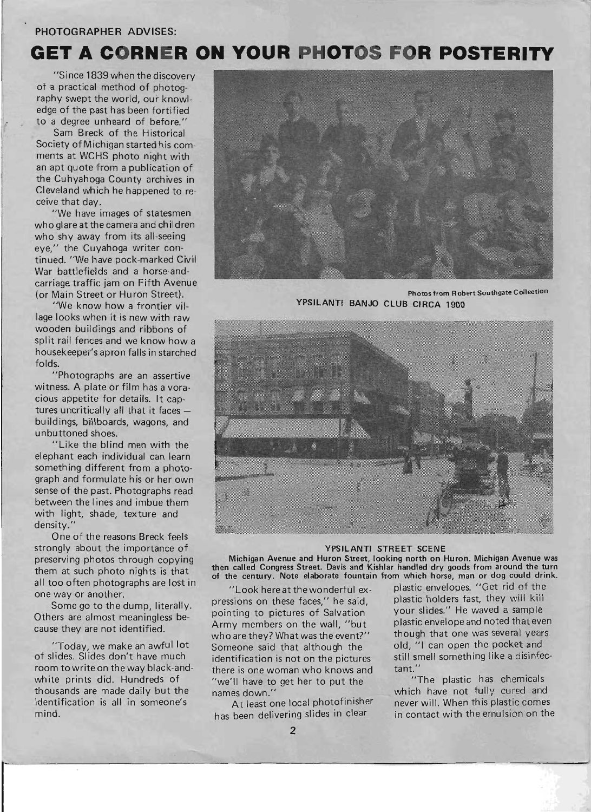# PHOTOGRAPHER ADVISES:

# **GET A CORNER ON YOUR PHOTOS FOR POSTERITY**

"Since 1839 when the discovery of a practical method of photography swept the world, our knowledge of the past has been fortified to a degree unheard of before."

Sam Breck of the Historical Society of Michigan started his comments at WCHS photo night with an apt quote from a publication of the Cuhyahoga County archives in Cleveland which he happened to receive that day.

"We have images of statesmen who glare at the camera and ch ildren who shy away from its all-seeing eye," the Cuyahoga writer continued. "We have pock-marked Civil War battlefields and a horse-andcarriage traffic jam on Fifth Avenue (or Main Street or Huron Street).

"We know how a frontier village looks when it is new with raw wooden buildings and ribbons of split rail fences and we know how a housekeeper's apron falls in starched folds.

"Photographs are an assertive witness. A plate or film has a voracious appetite for details. It captures uncritically all that it faces  $$ buildings, billboards, wagons, and unbuttoned shoes.

"Like the blind men with the elephant each individual can learn something different from a photograph and formulate his or her own sense of the past. Photographs read between the lines and imbue them with light, shade, texture and density."

One of the reasons Breck feels strongly about the importance of preserving photos through copying them at such photo nights is that all too often photographs are lost in one way or another.

Some go to the dump, literally. Others are almost meaningless because they are not identified.

"Today, we make an awful lot of slides. Slides don't have much room to write on the way black-andwhite prints did. Hundreds of thousands are made daily but the identification is all in someone's mind.

r



Photos from Robert Southgate Collection YPSILANTI BANJO CLUB CIRCA 1900



#### YPSILANTI STREET SCENE

Michigan Avenue and Huron Street, looking north on Huron. Michigan Avenue was then called Congress Street. Davis and Kishlar handled dry goods from around the turn of the century. Note elaborate fountain from which horse, man or dog could drink.

pressions on these faces," he said, plastic holders fast, they will kill<br>pointing to pictures of Salvation vour slides." He waved a sample pointing to pictures of Salvation Army members on the wall, "but plastic envelope and noted that even who are they? What was the event?" though that one was several years Someone said that although the old, "I can open the pocket and identification is not on the pictures still smell something like a disinfecthere is one woman who knows and tant."<br>"we'll have to get her to put the "The plastic has chiemicals" "we'll have to get her to put the

"Look here at the wonderful ex-<br>sions on these faces" he said a plastic holders fast, they will kill

names down." which have not fully cured and<br>At least one local photofinisher never will. When this plastic comes At least one local photofinisher never will. When this plastic comes<br>has been delivering slides in clear in contact with the ernulsion on the in contact with the ernulsion on the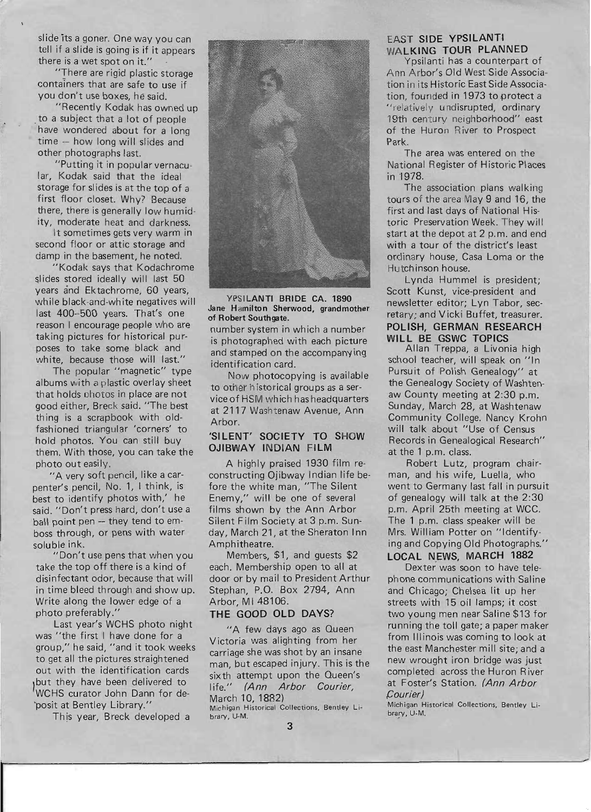slide its a goner. One way you can tell if a slide is going is if it appears there is a wet spot on it."

"There are rigid plastic storage containers that are safe to use if you don't use boxes, he said.

"Recently Kodak has owned up to a subject that a lot of people have wondered about for a long time - how long will slides and other photographs last.

"Putting it in popular vernacular, Kodak said that the ideal storage for slides is at the top of a first floor closet. Why? Because there, there is generally low humidity, moderate heat and darkness.

It sometimes gets very warm in second floor or attic storage and damp in the basement, he noted.

"Kodak says that Kodachrome slides stored ideally will last 50 years and Ektachrome, 60 years, while black-and-white negatives will last 400--500 years. That's one reason I encourage people who are taking pictures for historical purposes to take some black and white, because those will last."

The popular "magnetic" type albums with a plastic overlay sheet that holds photos in place are not good either, Breck said. "The best thing is a scrapbook with oldfashioned triangular 'corners' to hold photos. You can still buy them. With those, you can take the photo out easily.

"A very soft pencil, like a carpenter's pencil, No. 1, I think, is best to identify photos with,' he said. "Don't press hard, don't use a ball point pen -- they tend to emboss through, or pens with water soluble ink.

"Don't use pens that when you take the top off there is a kind of disinfectant odor, because that will in time bleed through and show up. Write along the lower edge of a photo preferably.'

Last year's WCHS photo night was "the first I have done for a group," he said, "and it took weeks to get all the pictures straightened out with the identification cards but they have been delivered to WCHS curator John Dann for de- 'posit at Bentley Library."

This year, Breck developed a



YPSILANTI BRIDE CA. 1890 Jane Hamilton Sherwood, grandmother of Robert Southgate.

number system in which a number is photographed with each picture and stamped on the accompanying identification card.

Now photocopying is available to other historical groups as a service of HSM wh ich has headquarters at 2117 Washtenaw Avenue, Ann Arbor.

# 'SILENT' SOCIETY TO SHOW OJIBWAY INDIAN FILM

A highly praised 1930 film reconstructing Ojibway Indian life before the white man, "The Silent Enemy," will be one of several films shown by the Ann Arbor Silent Film Society at 3 p.m. Sunday, March 21, at the Sheraton Inn Amphitheatre.

Members, \$1, and guests \$2 each. Membership open to all at door or by mail to President Arthur Stephan, P.O. Box 2794, Ann Arbor, MI 48106.

# THE GOOD OLD DAYS?

"A few days ago as Queen Victoria was alighting from her carriage she was shot by an insane man, but escaped injury. This is the sixth attempt upon the Queen's life." (Ann Arbor Courier, March 10, 1882) Michigan Historical Collections, Bentley Library, U-M.

# EAST SIDE YPSILANTI WALKING TOUR PLANNED

Ypsilanti has a counterpart of Ann Arbor's Old West Side Association in its Historic East Side Association, founded in 1973 to protect a "relatively undisrupted, ordinary 19th century neighborhood" east of the Huron River to Prospect Park.

The area was entered on the National Register of Historic Places in 1978.

The association plans walking tours of the area May 9 and 16, the first and last days of National Historic Preservation Week. They will start at the depot at 2 p.m. and end with a tour of the district's least ordinary house, Casa Loma or the Hutch inson house.

Lynda Hummel is president; Scott Kunst, vice-president and newsletter editor; Lyn Tabor, secretary; and Vicki Buffet, treasurer. POLISH, GERMAN RESEARCH WILL BE GSWC TOPICS

Allan Treppa, a Livonia high school teacher, will speak on "In Pursuit of Polish Genealogy" at the Genealogy Society of Washtenaw County meeting at 2:30 p.m. Sunday, March 28, at Washtenaw Community College. Nancy Krohn will talk about "Use of Census Records in Genealogical Research" at the 1 p.m. class.

Robert Lutz, program chairman, and his wife, Luella, who went to Germany last fall in pursuit of genealogy will talk at the 2:30 p.m. April 25th meeting at WCC. The 1 p.m. class speaker will be Mrs. William Potter on "Identifying and Copying Old Photographs." LOCAL NEWS, MARCH 1882

Dexter was soon to have telephone communications with Saline and Chicago; Chelsea lit up her streets with 15 oil lamps; it cost two young men near Saline \$13 for running the toll gate; a paper maker from Illinois was coming to look at the east Manchester mill site; and a new wrought iron bridge was just completed across the Huron River at Foster's Station. (Ann Arbor Courier)

Michigan Historical Collections, Bentley Li· brary, U-M.